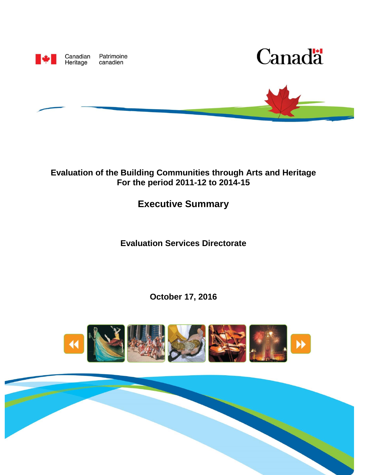

Patrimoine canadien





## **Evaluation of the Building Communities through Arts and Heritage For the period 2011-12 to 2014-15**

## **Executive Summary**

**Evaluation Services Directorate**

**October 17, 2016**



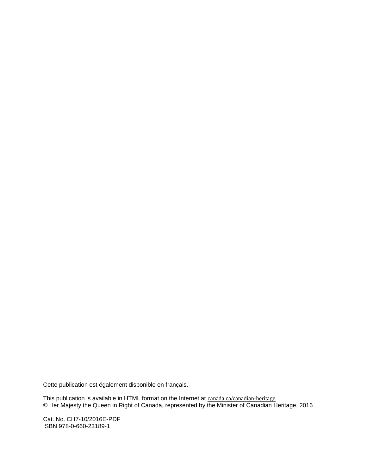Cette publication est également disponible en français.

This publication is available in HTML format on the Internet at [canada.ca/canadian-heritage](http://canada.pch.gc.ca/eng/1461165106884/1461165199277) © Her Majesty the Queen in Right of Canada, represented by the Minister of Canadian Heritage, 2016

Cat. No. CH7-10/2016E-PDF ISBN 978-0-660-23189-1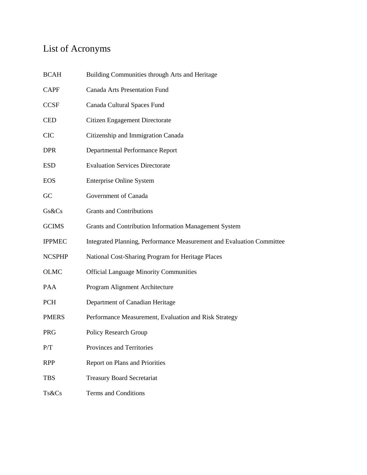# List of Acronyms

| <b>BCAH</b>   | Building Communities through Arts and Heritage                        |
|---------------|-----------------------------------------------------------------------|
| <b>CAPF</b>   | <b>Canada Arts Presentation Fund</b>                                  |
| <b>CCSF</b>   | Canada Cultural Spaces Fund                                           |
| <b>CED</b>    | Citizen Engagement Directorate                                        |
| <b>CIC</b>    | Citizenship and Immigration Canada                                    |
| <b>DPR</b>    | <b>Departmental Performance Report</b>                                |
| <b>ESD</b>    | <b>Evaluation Services Directorate</b>                                |
| <b>EOS</b>    | <b>Enterprise Online System</b>                                       |
| GC            | Government of Canada                                                  |
| Gs&Cs         | <b>Grants and Contributions</b>                                       |
| <b>GCIMS</b>  | Grants and Contribution Information Management System                 |
| <b>IPPMEC</b> | Integrated Planning, Performance Measurement and Evaluation Committee |
| <b>NCSPHP</b> | National Cost-Sharing Program for Heritage Places                     |
| <b>OLMC</b>   | <b>Official Language Minority Communities</b>                         |
| <b>PAA</b>    | Program Alignment Architecture                                        |
| <b>PCH</b>    | Department of Canadian Heritage                                       |
| <b>PMERS</b>  | Performance Measurement, Evaluation and Risk Strategy                 |
| <b>PRG</b>    | Policy Research Group                                                 |
| P/T           | Provinces and Territories                                             |
| <b>RPP</b>    | <b>Report on Plans and Priorities</b>                                 |
| <b>TBS</b>    | <b>Treasury Board Secretariat</b>                                     |
| Ts&Cs         | <b>Terms and Conditions</b>                                           |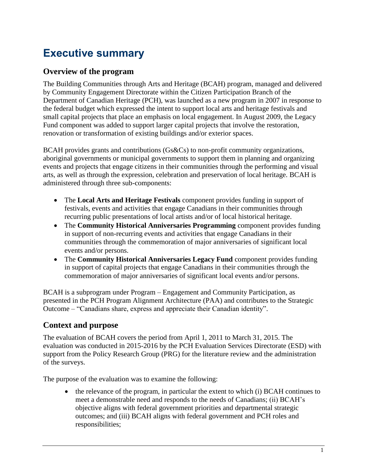# **Executive summary**

#### **Overview of the program**

The Building Communities through Arts and Heritage (BCAH) program, managed and delivered by Community Engagement Directorate within the Citizen Participation Branch of the Department of Canadian Heritage (PCH), was launched as a new program in 2007 in response to the federal budget which expressed the intent to support local arts and heritage festivals and small capital projects that place an emphasis on local engagement. In August 2009, the Legacy Fund component was added to support larger capital projects that involve the restoration, renovation or transformation of existing buildings and/or exterior spaces.

BCAH provides grants and contributions (Gs&Cs) to non-profit community organizations, aboriginal governments or municipal governments to support them in planning and organizing events and projects that engage citizens in their communities through the performing and visual arts, as well as through the expression, celebration and preservation of local heritage. BCAH is administered through three sub-components:

- The **Local Arts and Heritage Festivals** component provides funding in support of festivals, events and activities that engage Canadians in their communities through recurring public presentations of local artists and/or of local historical heritage.
- The **Community Historical Anniversaries Programming** component provides funding in support of non-recurring events and activities that engage Canadians in their communities through the commemoration of major anniversaries of significant local events and/or persons.
- The **Community Historical Anniversaries Legacy Fund** component provides funding in support of capital projects that engage Canadians in their communities through the commemoration of major anniversaries of significant local events and/or persons.

BCAH is a subprogram under Program – Engagement and Community Participation, as presented in the PCH Program Alignment Architecture (PAA) and contributes to the Strategic Outcome – "Canadians share, express and appreciate their Canadian identity".

## **Context and purpose**

The evaluation of BCAH covers the period from April 1, 2011 to March 31, 2015. The evaluation was conducted in 2015-2016 by the PCH Evaluation Services Directorate (ESD) with support from the Policy Research Group (PRG) for the literature review and the administration of the surveys.

The purpose of the evaluation was to examine the following:

 $\bullet$  the relevance of the program, in particular the extent to which (i) BCAH continues to meet a demonstrable need and responds to the needs of Canadians; (ii) BCAH's objective aligns with federal government priorities and departmental strategic outcomes; and (iii) BCAH aligns with federal government and PCH roles and responsibilities;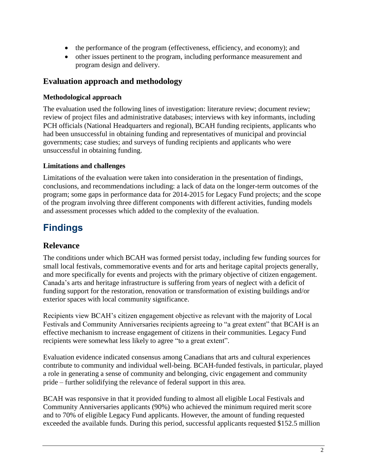- the performance of the program (effectiveness, efficiency, and economy); and
- other issues pertinent to the program, including performance measurement and program design and delivery.

#### **Evaluation approach and methodology**

#### **Methodological approach**

The evaluation used the following lines of investigation: literature review; document review; review of project files and administrative databases; interviews with key informants, including PCH officials (National Headquarters and regional), BCAH funding recipients, applicants who had been unsuccessful in obtaining funding and representatives of municipal and provincial governments; case studies; and surveys of funding recipients and applicants who were unsuccessful in obtaining funding.

#### **Limitations and challenges**

Limitations of the evaluation were taken into consideration in the presentation of findings, conclusions, and recommendations including: a lack of data on the longer-term outcomes of the program; some gaps in performance data for 2014-2015 for Legacy Fund projects; and the scope of the program involving three different components with different activities, funding models and assessment processes which added to the complexity of the evaluation.

# **Findings**

## **Relevance**

The conditions under which BCAH was formed persist today, including few funding sources for small local festivals, commemorative events and for arts and heritage capital projects generally, and more specifically for events and projects with the primary objective of citizen engagement. Canada's arts and heritage infrastructure is suffering from years of neglect with a deficit of funding support for the restoration, renovation or transformation of existing buildings and/or exterior spaces with local community significance.

Recipients view BCAH's citizen engagement objective as relevant with the majority of Local Festivals and Community Anniversaries recipients agreeing to "a great extent" that BCAH is an effective mechanism to increase engagement of citizens in their communities. Legacy Fund recipients were somewhat less likely to agree "to a great extent".

Evaluation evidence indicated consensus among Canadians that arts and cultural experiences contribute to community and individual well-being. BCAH-funded festivals, in particular, played a role in generating a sense of community and belonging, civic engagement and community pride – further solidifying the relevance of federal support in this area.

BCAH was responsive in that it provided funding to almost all eligible Local Festivals and Community Anniversaries applicants (90%) who achieved the minimum required merit score and to 70% of eligible Legacy Fund applicants. However, the amount of funding requested exceeded the available funds. During this period, successful applicants requested \$152.5 million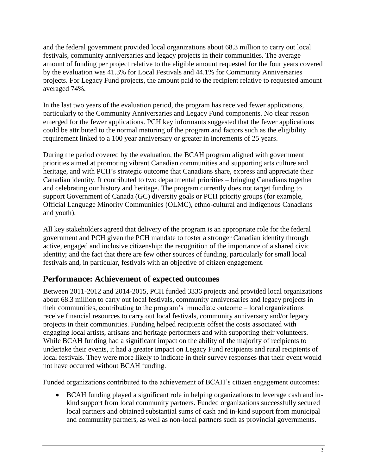and the federal government provided local organizations about 68.3 million to carry out local festivals, community anniversaries and legacy projects in their communities. The average amount of funding per project relative to the eligible amount requested for the four years covered by the evaluation was 41.3% for Local Festivals and 44.1% for Community Anniversaries projects. For Legacy Fund projects, the amount paid to the recipient relative to requested amount averaged 74%.

In the last two years of the evaluation period, the program has received fewer applications, particularly to the Community Anniversaries and Legacy Fund components. No clear reason emerged for the fewer applications. PCH key informants suggested that the fewer applications could be attributed to the normal maturing of the program and factors such as the eligibility requirement linked to a 100 year anniversary or greater in increments of 25 years.

During the period covered by the evaluation, the BCAH program aligned with government priorities aimed at promoting vibrant Canadian communities and supporting arts culture and heritage, and with PCH's strategic outcome that Canadians share, express and appreciate their Canadian identity. It contributed to two departmental priorities – bringing Canadians together and celebrating our history and heritage. The program currently does not target funding to support Government of Canada (GC) diversity goals or PCH priority groups (for example, Official Language Minority Communities (OLMC), ethno-cultural and Indigenous Canadians and youth).

All key stakeholders agreed that delivery of the program is an appropriate role for the federal government and PCH given the PCH mandate to foster a stronger Canadian identity through active, engaged and inclusive citizenship; the recognition of the importance of a shared civic identity; and the fact that there are few other sources of funding, particularly for small local festivals and, in particular, festivals with an objective of citizen engagement.

## **Performance: Achievement of expected outcomes**

Between 2011-2012 and 2014-2015, PCH funded 3336 projects and provided local organizations about 68.3 million to carry out local festivals, community anniversaries and legacy projects in their communities, contributing to the program's immediate outcome – local organizations receive financial resources to carry out local festivals, community anniversary and/or legacy projects in their communities. Funding helped recipients offset the costs associated with engaging local artists, artisans and heritage performers and with supporting their volunteers. While BCAH funding had a significant impact on the ability of the majority of recipients to undertake their events, it had a greater impact on Legacy Fund recipients and rural recipients of local festivals. They were more likely to indicate in their survey responses that their event would not have occurred without BCAH funding.

Funded organizations contributed to the achievement of BCAH's citizen engagement outcomes:

 BCAH funding played a significant role in helping organizations to leverage cash and inkind support from local community partners. Funded organizations successfully secured local partners and obtained substantial sums of cash and in-kind support from municipal and community partners, as well as non-local partners such as provincial governments.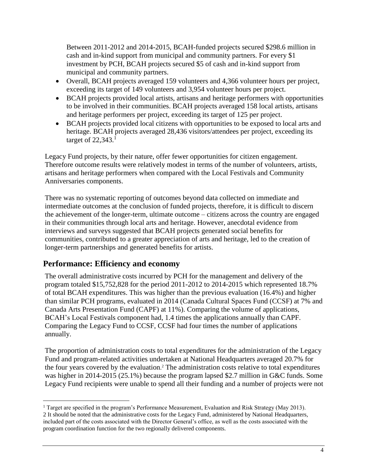Between 2011-2012 and 2014-2015, BCAH-funded projects secured \$298.6 million in cash and in-kind support from municipal and community partners. For every \$1 investment by PCH, BCAH projects secured \$5 of cash and in-kind support from municipal and community partners.

- Overall, BCAH projects averaged 159 volunteers and 4,366 volunteer hours per project, exceeding its target of 149 volunteers and 3,954 volunteer hours per project.
- BCAH projects provided local artists, artisans and heritage performers with opportunities to be involved in their communities. BCAH projects averaged 158 local artists, artisans and heritage performers per project, exceeding its target of 125 per project.
- BCAH projects provided local citizens with opportunities to be exposed to local arts and heritage. BCAH projects averaged 28,436 visitors/attendees per project, exceeding its target of  $22,343$ .<sup>1</sup>

Legacy Fund projects, by their nature, offer fewer opportunities for citizen engagement. Therefore outcome results were relatively modest in terms of the number of volunteers, artists, artisans and heritage performers when compared with the Local Festivals and Community Anniversaries components.

There was no systematic reporting of outcomes beyond data collected on immediate and intermediate outcomes at the conclusion of funded projects, therefore, it is difficult to discern the achievement of the longer-term, ultimate outcome – citizens across the country are engaged in their communities through local arts and heritage. However, anecdotal evidence from interviews and surveys suggested that BCAH projects generated social benefits for communities, contributed to a greater appreciation of arts and heritage, led to the creation of longer-term partnerships and generated benefits for artists.

## **Performance: Efficiency and economy**

 $\overline{a}$ 

The overall administrative costs incurred by PCH for the management and delivery of the program totaled \$15,752,828 for the period 2011-2012 to 2014-2015 which represented 18.7% of total BCAH expenditures. This was higher than the previous evaluation (16.4%) and higher than similar PCH programs, evaluated in 2014 (Canada Cultural Spaces Fund (CCSF) at 7% and Canada Arts Presentation Fund (CAPF) at 11%). Comparing the volume of applications, BCAH's Local Festivals component had, 1.4 times the applications annually than CAPF. Comparing the Legacy Fund to CCSF, CCSF had four times the number of applications annually.

The proportion of administration costs to total expenditures for the administration of the Legacy Fund and program-related activities undertaken at National Headquarters averaged 20.7% for the four years covered by the evaluation. <sup>2</sup> The administration costs relative to total expenditures was higher in 2014-2015 (25.1%) because the program lapsed \$2.7 million in G&C funds. Some Legacy Fund recipients were unable to spend all their funding and a number of projects were not

<sup>&</sup>lt;sup>1</sup> Target are specified in the program's Performance Measurement, Evaluation and Risk Strategy (May 2013). 2 It should be noted that the administrative costs for the Legacy Fund, administered by National Headquarters, included part of the costs associated with the Director General's office, as well as the costs associated with the program coordination function for the two regionally delivered components.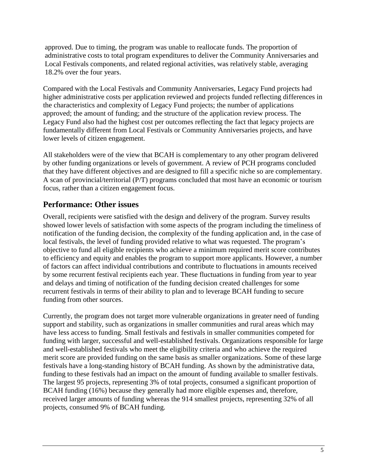approved. Due to timing, the program was unable to reallocate funds. The proportion of administrative costs to total program expenditures to deliver the Community Anniversaries and Local Festivals components, and related regional activities, was relatively stable, averaging 18.2% over the four years.

Compared with the Local Festivals and Community Anniversaries, Legacy Fund projects had higher administrative costs per application reviewed and projects funded reflecting differences in the characteristics and complexity of Legacy Fund projects; the number of applications approved; the amount of funding; and the structure of the application review process. The Legacy Fund also had the highest cost per outcomes reflecting the fact that legacy projects are fundamentally different from Local Festivals or Community Anniversaries projects, and have lower levels of citizen engagement.

All stakeholders were of the view that BCAH is complementary to any other program delivered by other funding organizations or levels of government. A review of PCH programs concluded that they have different objectives and are designed to fill a specific niche so are complementary. A scan of provincial/territorial (P/T) programs concluded that most have an economic or tourism focus, rather than a citizen engagement focus.

#### **Performance: Other issues**

Overall, recipients were satisfied with the design and delivery of the program. Survey results showed lower levels of satisfaction with some aspects of the program including the timeliness of notification of the funding decision, the complexity of the funding application and, in the case of local festivals, the level of funding provided relative to what was requested. The program's objective to fund all eligible recipients who achieve a minimum required merit score contributes to efficiency and equity and enables the program to support more applicants. However, a number of factors can affect individual contributions and contribute to fluctuations in amounts received by some recurrent festival recipients each year. These fluctuations in funding from year to year and delays and timing of notification of the funding decision created challenges for some recurrent festivals in terms of their ability to plan and to leverage BCAH funding to secure funding from other sources.

Currently, the program does not target more vulnerable organizations in greater need of funding support and stability, such as organizations in smaller communities and rural areas which may have less access to funding. Small festivals and festivals in smaller communities competed for funding with larger, successful and well-established festivals. Organizations responsible for large and well-established festivals who meet the eligibility criteria and who achieve the required merit score are provided funding on the same basis as smaller organizations. Some of these large festivals have a long-standing history of BCAH funding. As shown by the administrative data, funding to these festivals had an impact on the amount of funding available to smaller festivals. The largest 95 projects, representing 3% of total projects, consumed a significant proportion of BCAH funding (16%) because they generally had more eligible expenses and, therefore, received larger amounts of funding whereas the 914 smallest projects, representing 32% of all projects, consumed 9% of BCAH funding.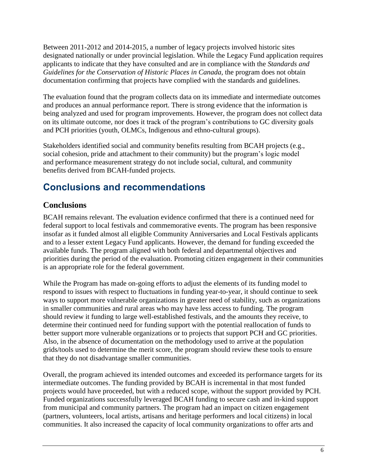Between 2011-2012 and 2014-2015, a number of legacy projects involved historic sites designated nationally or under provincial legislation. While the Legacy Fund application requires applicants to indicate that they have consulted and are in compliance with the *Standards and Guidelines for the Conservation of Historic Places in Canada*, the program does not obtain documentation confirming that projects have complied with the standards and guidelines.

The evaluation found that the program collects data on its immediate and intermediate outcomes and produces an annual performance report. There is strong evidence that the information is being analyzed and used for program improvements. However, the program does not collect data on its ultimate outcome, nor does it track of the program's contributions to GC diversity goals and PCH priorities (youth, OLMCs, Indigenous and ethno-cultural groups).

Stakeholders identified social and community benefits resulting from BCAH projects (e.g., social cohesion, pride and attachment to their community) but the program's logic model and performance measurement strategy do not include social, cultural, and community benefits derived from BCAH-funded projects.

# **Conclusions and recommendations**

## **Conclusions**

BCAH remains relevant. The evaluation evidence confirmed that there is a continued need for federal support to local festivals and commemorative events. The program has been responsive insofar as it funded almost all eligible Community Anniversaries and Local Festivals applicants and to a lesser extent Legacy Fund applicants. However, the demand for funding exceeded the available funds. The program aligned with both federal and departmental objectives and priorities during the period of the evaluation. Promoting citizen engagement in their communities is an appropriate role for the federal government.

While the Program has made on-going efforts to adjust the elements of its funding model to respond to issues with respect to fluctuations in funding year-to-year, it should continue to seek ways to support more vulnerable organizations in greater need of stability, such as organizations in smaller communities and rural areas who may have less access to funding. The program should review it funding to large well-established festivals, and the amounts they receive, to determine their continued need for funding support with the potential reallocation of funds to better support more vulnerable organizations or to projects that support PCH and GC priorities. Also, in the absence of documentation on the methodology used to arrive at the population grids/tools used to determine the merit score, the program should review these tools to ensure that they do not disadvantage smaller communities.

Overall, the program achieved its intended outcomes and exceeded its performance targets for its intermediate outcomes. The funding provided by BCAH is incremental in that most funded projects would have proceeded, but with a reduced scope, without the support provided by PCH. Funded organizations successfully leveraged BCAH funding to secure cash and in-kind support from municipal and community partners. The program had an impact on citizen engagement (partners, volunteers, local artists, artisans and heritage performers and local citizens) in local communities. It also increased the capacity of local community organizations to offer arts and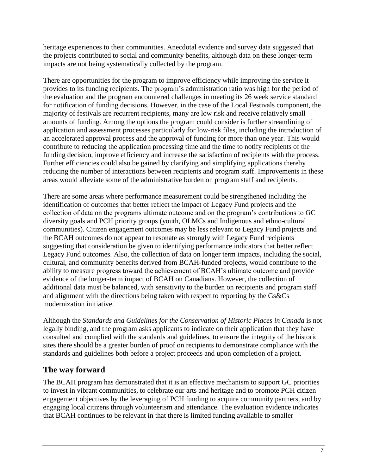heritage experiences to their communities. Anecdotal evidence and survey data suggested that the projects contributed to social and community benefits, although data on these longer-term impacts are not being systematically collected by the program.

There are opportunities for the program to improve efficiency while improving the service it provides to its funding recipients. The program's administration ratio was high for the period of the evaluation and the program encountered challenges in meeting its 26 week service standard for notification of funding decisions. However, in the case of the Local Festivals component, the majority of festivals are recurrent recipients, many are low risk and receive relatively small amounts of funding. Among the options the program could consider is further streamlining of application and assessment processes particularly for low-risk files, including the introduction of an accelerated approval process and the approval of funding for more than one year. This would contribute to reducing the application processing time and the time to notify recipients of the funding decision, improve efficiency and increase the satisfaction of recipients with the process. Further efficiencies could also be gained by clarifying and simplifying applications thereby reducing the number of interactions between recipients and program staff. Improvements in these areas would alleviate some of the administrative burden on program staff and recipients.

There are some areas where performance measurement could be strengthened including the identification of outcomes that better reflect the impact of Legacy Fund projects and the collection of data on the programs ultimate outcome and on the program's contributions to GC diversity goals and PCH priority groups (youth, OLMCs and Indigenous and ethno-cultural communities). Citizen engagement outcomes may be less relevant to Legacy Fund projects and the BCAH outcomes do not appear to resonate as strongly with Legacy Fund recipients suggesting that consideration be given to identifying performance indicators that better reflect Legacy Fund outcomes. Also, the collection of data on longer term impacts, including the social, cultural, and community benefits derived from BCAH-funded projects, would contribute to the ability to measure progress toward the achievement of BCAH's ultimate outcome and provide evidence of the longer-term impact of BCAH on Canadians. However, the collection of additional data must be balanced, with sensitivity to the burden on recipients and program staff and alignment with the directions being taken with respect to reporting by the Gs&Cs modernization initiative.

Although the *Standards and Guidelines for the Conservation of Historic Places in Canada* is not legally binding, and the program asks applicants to indicate on their application that they have consulted and complied with the standards and guidelines, to ensure the integrity of the historic sites there should be a greater burden of proof on recipients to demonstrate compliance with the standards and guidelines both before a project proceeds and upon completion of a project.

## **The way forward**

The BCAH program has demonstrated that it is an effective mechanism to support GC priorities to invest in vibrant communities, to celebrate our arts and heritage and to promote PCH citizen engagement objectives by the leveraging of PCH funding to acquire community partners, and by engaging local citizens through volunteerism and attendance. The evaluation evidence indicates that BCAH continues to be relevant in that there is limited funding available to smaller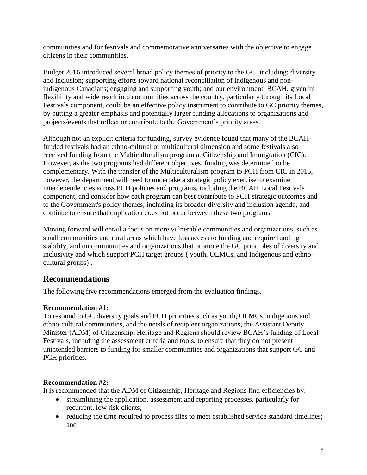communities and for festivals and commemorative anniversaries with the objective to engage citizens in their communities.

Budget 2016 introduced several broad policy themes of priority to the GC, including: diversity and inclusion; supporting efforts toward national reconciliation of indigenous and nonindigenous Canadians; engaging and supporting youth; and our environment. BCAH, given its flexibility and wide reach into communities across the country, particularly through its Local Festivals component, could be an effective policy instrument to contribute to GC priority themes, by putting a greater emphasis and potentially larger funding allocations to organizations and projects/events that reflect or contribute to the Government's priority areas.

Although not an explicit criteria for funding, survey evidence found that many of the BCAHfunded festivals had an ethno-cultural or multicultural dimension and some festivals also received funding from the Multiculturalism program at Citizenship and Immigration (CIC). However, as the two programs had different objectives, funding was determined to be complementary. With the transfer of the Multiculturalism program to PCH from CIC in 2015, however, the department will need to undertake a strategic policy exercise to examine interdependencies across PCH policies and programs, including the BCAH Local Festivals component, and consider how each program can best contribute to PCH strategic outcomes and to the Government's policy themes, including its broader diversity and inclusion agenda, and continue to ensure that duplication does not occur between these two programs.

Moving forward will entail a focus on more vulnerable communities and organizations, such as small communities and rural areas which have less access to funding and require funding stability, and on communities and organizations that promote the GC principles of diversity and inclusivity and which support PCH target groups ( youth, OLMCs, and Indigenous and ethnocultural groups) .

#### **Recommendations**

The following five recommendations emerged from the evaluation findings.

#### **Recommendation #1:**

To respond to GC diversity goals and PCH priorities such as youth, OLMCs, indigenous and ethno-cultural communities, and the needs of recipient organizations, the Assistant Deputy Minister (ADM) of Citizenship, Heritage and Regions should review BCAH's funding of Local Festivals, including the assessment criteria and tools, to ensure that they do not present unintended barriers to funding for smaller communities and organizations that support GC and PCH priorities.

#### **Recommendation #2:**

It is recommended that the ADM of Citizenship, Heritage and Regions find efficiencies by:

- streamlining the application, assessment and reporting processes, particularly for recurrent, low risk clients;
- reducing the time required to process files to meet established service standard timelines; and